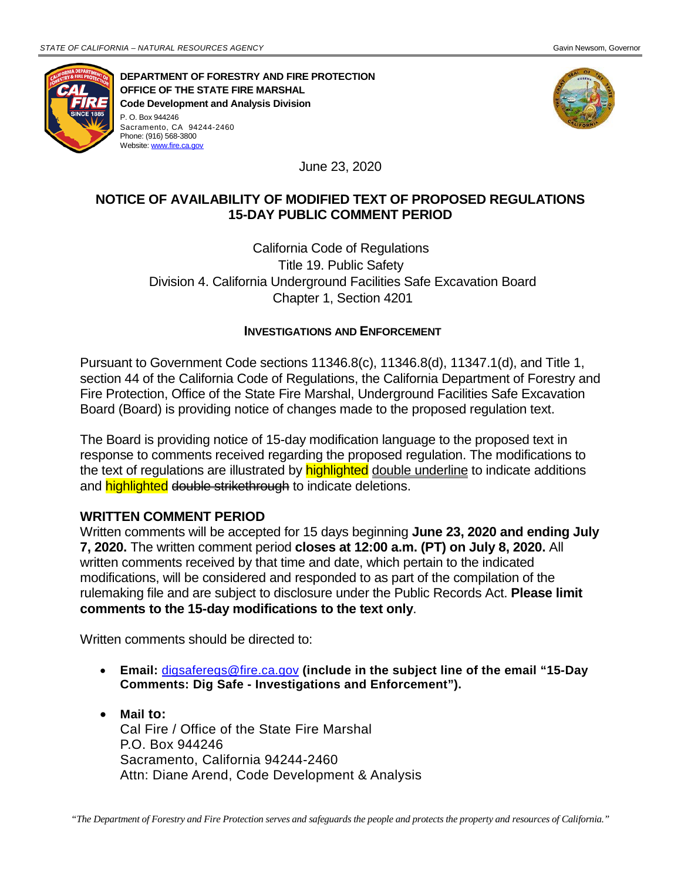Sacramento, CA 94244-2460 Phone: (916) 568-3800 Website[: www.fire.ca.gov](http://www.fire.ca.gov/) 



**DEPARTMENT OF FORESTRY AND FIRE PROTECTION OFFICE OF THE STATE FIRE MARSHAL Code Development and Analysis Division**  P. O. Box 944246



June 23, 2020

## **NOTICE OF AVAILABILITY OF MODIFIED TEXT OF PROPOSED REGULATIONS 15-DAY PUBLIC COMMENT PERIOD**

 Division 4. California Underground Facilities Safe Excavation Board California Code of Regulations Title 19. Public Safety Chapter 1, Section 4201

## **INVESTIGATIONS AND ENFORCEMENT**

Pursuant to Government Code sections 11346.8(c), 11346.8(d), 11347.1(d), and Title 1, section 44 of the California Code of Regulations, the California Department of Forestry and Fire Protection, Office of the State Fire Marshal, Underground Facilities Safe Excavation Board (Board) is providing notice of changes made to the proposed regulation text.

 and <mark>highlighted</mark> <del>double strikethrough</del> to indicate deletions. Board is providing notice of 15-day modification language to the p<br>onse to comments received regarding the proposed regulation. Thext of regulations are illustrated by **highlighted** <u>double underline</u> to<br>highlighted <del>doubl</del> The Board is providing notice of 15-day modification language to the proposed text in response to comments received regarding the proposed regulation. The modifications to the text of regulations are illustrated by **highlighted** double underline to indicate additions

## **WRITTEN COMMENT PERIOD**

 Written comments will be accepted for 15 days beginning **June 23, 2020 and ending July 7, 2020.** The written comment period **closes at 12:00 a.m. (PT) on July 8, 2020.** All modifications, will be considered and responded to as part of the compilation of the rulemaking file and are subject to disclosure under the Public Records Act. **Please limit**  written comments received by that time and date, which pertain to the indicated **comments to the 15-day modifications to the text only**.

Written comments should be directed to:

- • **Email:** [digsaferegs@fire.ca.gov](mailto:digsaferegs@fire.ca.gov) **(include in the subject line of the email "15-Day Comments: Dig Safe - Investigations and Enforcement").**
- Attn: Diane Arend, Code Development & Analysis • **Mail to:**  Cal Fire / Office of the State Fire Marshal P.O. Box 944246 Sacramento, California 94244-2460